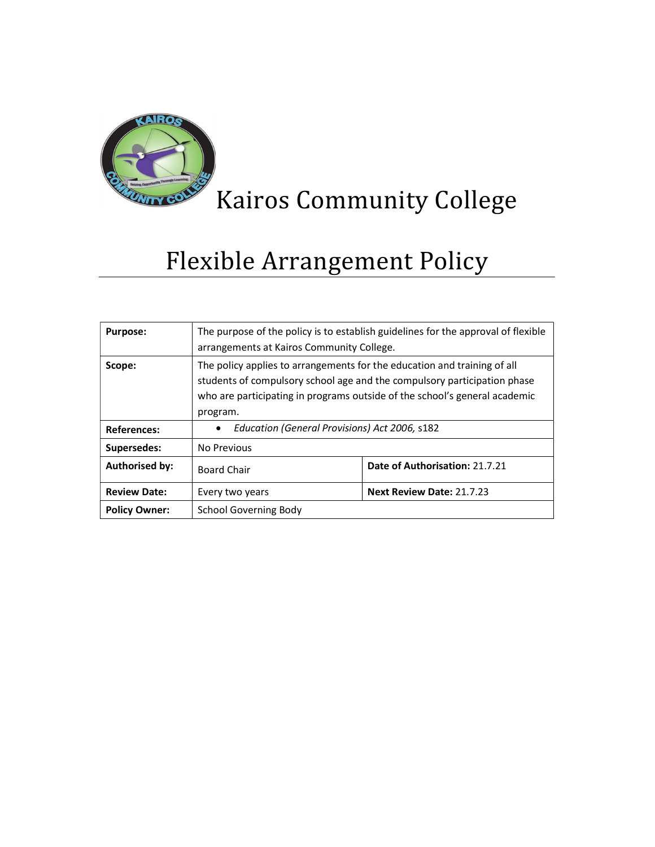

# Kairos Community College

# Flexible Arrangement Policy

| <b>Purpose:</b>       | The purpose of the policy is to establish guidelines for the approval of flexible<br>arrangements at Kairos Community College.                                                                                                                 |                                  |  |  |
|-----------------------|------------------------------------------------------------------------------------------------------------------------------------------------------------------------------------------------------------------------------------------------|----------------------------------|--|--|
| Scope:                | The policy applies to arrangements for the education and training of all<br>students of compulsory school age and the compulsory participation phase<br>who are participating in programs outside of the school's general academic<br>program. |                                  |  |  |
| <b>References:</b>    | Education (General Provisions) Act 2006, s182<br>$\bullet$                                                                                                                                                                                     |                                  |  |  |
| Supersedes:           | No Previous                                                                                                                                                                                                                                    |                                  |  |  |
| <b>Authorised by:</b> | <b>Board Chair</b>                                                                                                                                                                                                                             | Date of Authorisation: 21.7.21   |  |  |
| <b>Review Date:</b>   | Every two years                                                                                                                                                                                                                                | <b>Next Review Date: 21.7.23</b> |  |  |
| <b>Policy Owner:</b>  | School Governing Body                                                                                                                                                                                                                          |                                  |  |  |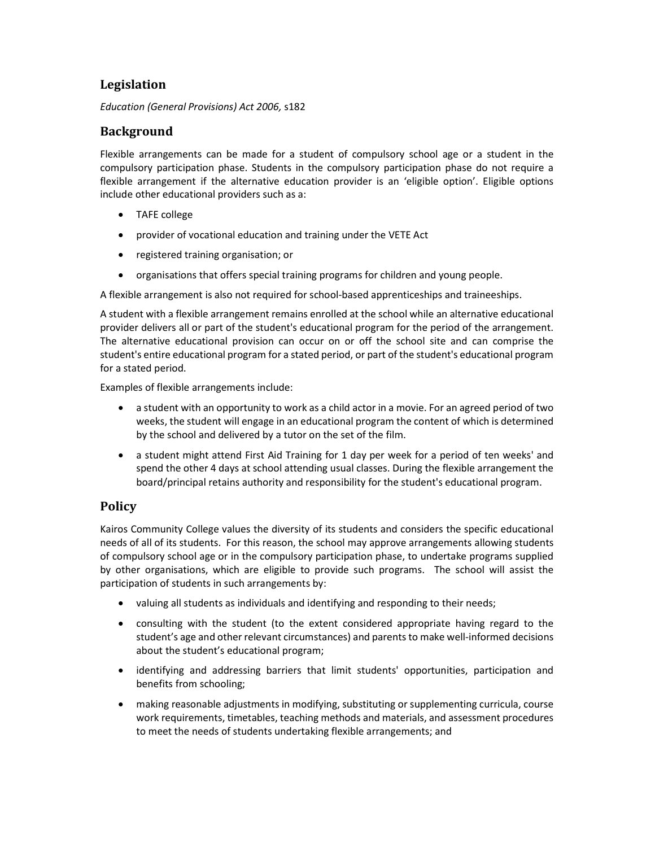## Legislation

Education (General Provisions) Act 2006, s182

## Background

Flexible arrangements can be made for a student of compulsory school age or a student in the compulsory participation phase. Students in the compulsory participation phase do not require a flexible arrangement if the alternative education provider is an 'eligible option'. Eligible options include other educational providers such as a:

- TAFE college
- provider of vocational education and training under the VETE Act
- registered training organisation; or
- organisations that offers special training programs for children and young people.

A flexible arrangement is also not required for school-based apprenticeships and traineeships.

A student with a flexible arrangement remains enrolled at the school while an alternative educational provider delivers all or part of the student's educational program for the period of the arrangement. The alternative educational provision can occur on or off the school site and can comprise the student's entire educational program for a stated period, or part of the student's educational program for a stated period.

Examples of flexible arrangements include:

- a student with an opportunity to work as a child actor in a movie. For an agreed period of two weeks, the student will engage in an educational program the content of which is determined by the school and delivered by a tutor on the set of the film.
- a student might attend First Aid Training for 1 day per week for a period of ten weeks' and spend the other 4 days at school attending usual classes. During the flexible arrangement the board/principal retains authority and responsibility for the student's educational program.

## **Policy**

Kairos Community College values the diversity of its students and considers the specific educational needs of all of its students. For this reason, the school may approve arrangements allowing students of compulsory school age or in the compulsory participation phase, to undertake programs supplied by other organisations, which are eligible to provide such programs. The school will assist the participation of students in such arrangements by:

- valuing all students as individuals and identifying and responding to their needs;
- consulting with the student (to the extent considered appropriate having regard to the student's age and other relevant circumstances) and parents to make well-informed decisions about the student's educational program;
- identifying and addressing barriers that limit students' opportunities, participation and benefits from schooling;
- making reasonable adjustments in modifying, substituting or supplementing curricula, course work requirements, timetables, teaching methods and materials, and assessment procedures to meet the needs of students undertaking flexible arrangements; and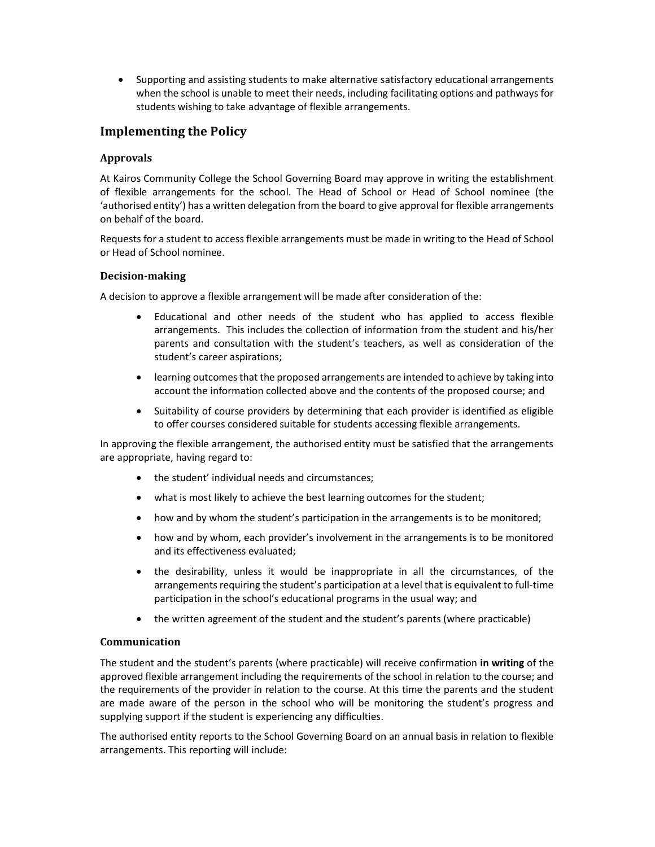Supporting and assisting students to make alternative satisfactory educational arrangements when the school is unable to meet their needs, including facilitating options and pathways for students wishing to take advantage of flexible arrangements.

## Implementing the Policy

### Approvals

At Kairos Community College the School Governing Board may approve in writing the establishment of flexible arrangements for the school. The Head of School or Head of School nominee (the 'authorised entity') has a written delegation from the board to give approval for flexible arrangements on behalf of the board.

Requests for a student to access flexible arrangements must be made in writing to the Head of School or Head of School nominee.

#### Decision-making

A decision to approve a flexible arrangement will be made after consideration of the:

- Educational and other needs of the student who has applied to access flexible arrangements. This includes the collection of information from the student and his/her parents and consultation with the student's teachers, as well as consideration of the student's career aspirations;
- learning outcomes that the proposed arrangements are intended to achieve by taking into account the information collected above and the contents of the proposed course; and
- Suitability of course providers by determining that each provider is identified as eligible to offer courses considered suitable for students accessing flexible arrangements.

In approving the flexible arrangement, the authorised entity must be satisfied that the arrangements are appropriate, having regard to:

- the student' individual needs and circumstances;
- what is most likely to achieve the best learning outcomes for the student;
- how and by whom the student's participation in the arrangements is to be monitored;
- how and by whom, each provider's involvement in the arrangements is to be monitored and its effectiveness evaluated;
- the desirability, unless it would be inappropriate in all the circumstances, of the arrangements requiring the student's participation at a level that is equivalent to full-time participation in the school's educational programs in the usual way; and
- the written agreement of the student and the student's parents (where practicable)

### Communication

The student and the student's parents (where practicable) will receive confirmation in writing of the approved flexible arrangement including the requirements of the school in relation to the course; and the requirements of the provider in relation to the course. At this time the parents and the student are made aware of the person in the school who will be monitoring the student's progress and supplying support if the student is experiencing any difficulties.

The authorised entity reports to the School Governing Board on an annual basis in relation to flexible arrangements. This reporting will include: